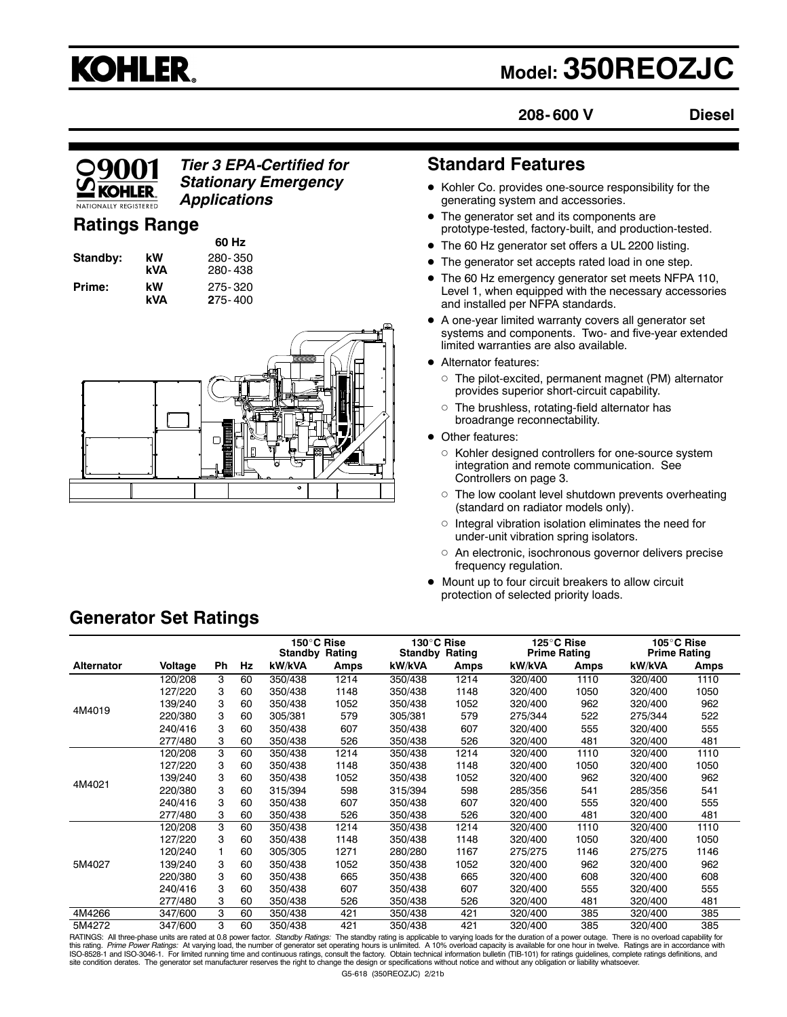# **KOHLER.**

# **Model: 350REOZJC**

**208- 600 V**

**Diesel**

# 090

## *Tier 3 EPA-Certified for Stationary Emergency Applications*

# **Ratings Range**

| Standby: | kW<br>kVA |
|----------|-----------|
| Prime:   | kW        |

**60 Hz Standby: kW** 280- 350 **kVA** 280- 438 **Prime: kW** 275- 320 **kVA 2**75- 400



# **Standard Features**

- $\bullet$  Kohler Co. provides one-source responsibility for the generating system and accessories.
- The generator set and its components are prototype-tested, factory-built, and production-tested.
- The 60 Hz generator set offers a UL 2200 listing.
- The generator set accepts rated load in one step.
- The 60 Hz emergency generator set meets NFPA 110, Level 1, when equipped with the necessary accessories and installed per NFPA standards.
- $\bullet$  A one-year limited warranty covers all generator set systems and components. Two- and five-year extended limited warranties are also available.
- Alternator features:
	- $\circ$  The pilot-excited, permanent magnet (PM) alternator provides superior short-circuit capability.
	- $\circ$  The brushless, rotating-field alternator has broadrange reconnectability.
- Other features:
	- $\circ$  Kohler designed controllers for one-source system integration and remote communication. See Controllers on page 3.
	- $\circ$  The low coolant level shutdown prevents overheating (standard on radiator models only).
	- $\circ$  Integral vibration isolation eliminates the need for under-unit vibration spring isolators.
	- $\circ$  An electronic, isochronous governor delivers precise frequency regulation.
- $\bullet$  Mount up to four circuit breakers to allow circuit protection of selected priority loads.

# **Generator Set Ratings**

|                   |         |    |    | 150°C Rise<br><b>Standby Rating</b> |      | 130°C Rise<br><b>Standby Rating</b> |      | 125°C Rise<br><b>Prime Rating</b> |      | 105°C Rise<br><b>Prime Rating</b> |      |
|-------------------|---------|----|----|-------------------------------------|------|-------------------------------------|------|-----------------------------------|------|-----------------------------------|------|
| <b>Alternator</b> | Voltage | Ph | Hz | kW/kVA                              | Amps | kW/kVA                              | Amps | kW/kVA                            | Amps | kW/kVA                            | Amps |
|                   | 120/208 | 3  | 60 | 350/438                             | 1214 | 350/438                             | 1214 | 320/400                           | 1110 | 320/400                           | 1110 |
|                   | 127/220 | 3  | 60 | 350/438                             | 1148 | 350/438                             | 1148 | 320/400                           | 1050 | 320/400                           | 1050 |
|                   | 139/240 | 3  | 60 | 350/438                             | 1052 | 350/438                             | 1052 | 320/400                           | 962  | 320/400                           | 962  |
| 4M4019            | 220/380 | 3  | 60 | 305/381                             | 579  | 305/381                             | 579  | 275/344                           | 522  | 275/344                           | 522  |
|                   | 240/416 | 3  | 60 | 350/438                             | 607  | 350/438                             | 607  | 320/400                           | 555  | 320/400                           | 555  |
|                   | 277/480 | 3  | 60 | 350/438                             | 526  | 350/438                             | 526  | 320/400                           | 481  | 320/400                           | 481  |
|                   | 120/208 | 3  | 60 | 350/438                             | 1214 | 350/438                             | 1214 | 320/400                           | 1110 | 320/400                           | 1110 |
|                   | 127/220 | 3  | 60 | 350/438                             | 1148 | 350/438                             | 1148 | 320/400                           | 1050 | 320/400                           | 1050 |
|                   | 139/240 | 3  | 60 | 350/438                             | 1052 | 350/438                             | 1052 | 320/400                           | 962  | 320/400                           | 962  |
| 4M4021            | 220/380 | 3  | 60 | 315/394                             | 598  | 315/394                             | 598  | 285/356                           | 541  | 285/356                           | 541  |
|                   | 240/416 | 3  | 60 | 350/438                             | 607  | 350/438                             | 607  | 320/400                           | 555  | 320/400                           | 555  |
|                   | 277/480 | 3  | 60 | 350/438                             | 526  | 350/438                             | 526  | 320/400                           | 481  | 320/400                           | 481  |
|                   | 120/208 | 3  | 60 | 350/438                             | 1214 | 350/438                             | 1214 | 320/400                           | 1110 | 320/400                           | 1110 |
|                   | 127/220 | 3  | 60 | 350/438                             | 1148 | 350/438                             | 1148 | 320/400                           | 1050 | 320/400                           | 1050 |
|                   | 120/240 |    | 60 | 305/305                             | 1271 | 280/280                             | 1167 | 275/275                           | 1146 | 275/275                           | 1146 |
| 5M4027            | 139/240 | 3  | 60 | 350/438                             | 1052 | 350/438                             | 1052 | 320/400                           | 962  | 320/400                           | 962  |
|                   | 220/380 | 3  | 60 | 350/438                             | 665  | 350/438                             | 665  | 320/400                           | 608  | 320/400                           | 608  |
|                   | 240/416 | 3  | 60 | 350/438                             | 607  | 350/438                             | 607  | 320/400                           | 555  | 320/400                           | 555  |
|                   | 277/480 | 3  | 60 | 350/438                             | 526  | 350/438                             | 526  | 320/400                           | 481  | 320/400                           | 481  |
| 4M4266            | 347/600 | 3  | 60 | 350/438                             | 421  | 350/438                             | 421  | 320/400                           | 385  | 320/400                           | 385  |
| 5M4272            | 347/600 | 3  | 60 | 350/438                             | 421  | 350/438                             | 421  | 320/400                           | 385  | 320/400                           | 385  |

5M4272 347/600 3 60 350/438 421 350/438 421 320/400 385 320/400 385<br>PATINGS: All three-phase units are rated at 0.8 power factor. *Standby Ratings*: The standby rating is applicable to varying loads for the duration of a p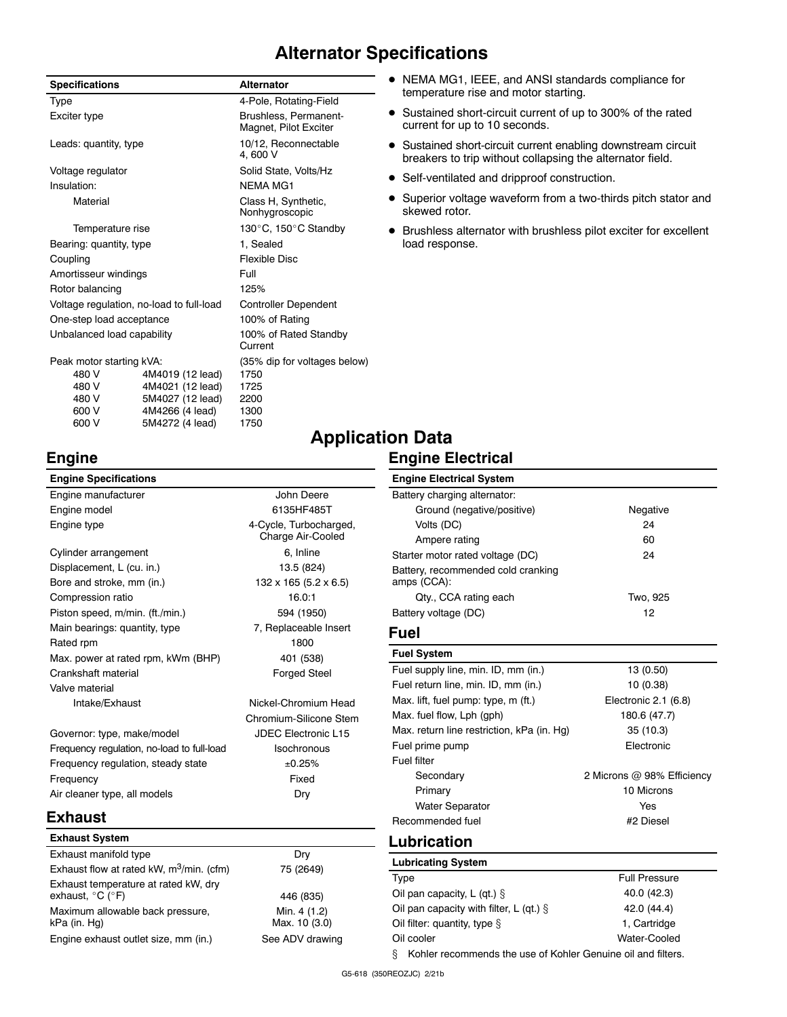# **Alternator Specifications**

| <b>Specifications</b>      |                                          | <b>Alternator</b>                              |
|----------------------------|------------------------------------------|------------------------------------------------|
| Type                       |                                          | 4-Pole, Rotating-Field                         |
| Exciter type               |                                          | Brushless, Permanent-<br>Magnet, Pilot Exciter |
| Leads: quantity, type      |                                          | 10/12, Reconnectable<br>4.600 V                |
| Voltage regulator          |                                          | Solid State, Volts/Hz                          |
| Insulation:                |                                          | <b>NFMA MG1</b>                                |
| Material                   |                                          | Class H, Synthetic,<br>Nonhygroscopic          |
| Temperature rise           |                                          | 130°C, 150°C Standby                           |
| Bearing: quantity, type    |                                          | 1, Sealed                                      |
| Coupling                   |                                          | <b>Flexible Disc</b>                           |
| Amortisseur windings       |                                          | Full                                           |
| Rotor balancing            |                                          | 125%                                           |
|                            | Voltage regulation, no-load to full-load | <b>Controller Dependent</b>                    |
| One-step load acceptance   |                                          | 100% of Rating                                 |
| Unbalanced load capability |                                          | 100% of Rated Standby<br>Current               |
| Peak motor starting kVA:   |                                          | (35% dip for voltages below)                   |
| 480 V                      | 4M4019 (12 lead)                         | 1750                                           |
| 480 V                      | 4M4021 (12 lead)                         | 1725                                           |
| 480 V                      | 5M4027 (12 lead)                         | 2200                                           |
| 600 V                      | 4M4266 (4 lead)                          | 1300                                           |
| 600 V                      | 5M4272 (4 lead)                          | 1750                                           |

- NEMA MG1, IEEE, and ANSI standards compliance for temperature rise and motor starting.
- Sustained short-circuit current of up to 300% of the rated current for up to 10 seconds.
- Sustained short-circuit current enabling downstream circuit breakers to trip without collapsing the alternator field.
- Self-ventilated and dripproof construction.
- Superior voltage waveform from a two-thirds pitch stator and skewed rotor.
- $\bullet$  Brushless alternator with brushless pilot exciter for excellent load response.

# **Engine**

| <b>Engine Specifications</b>               |                                            |
|--------------------------------------------|--------------------------------------------|
| Engine manufacturer                        | John Deere                                 |
| Engine model                               | 6135HF485T                                 |
| Engine type                                | 4-Cycle, Turbocharged<br>Charge Air-Cooled |
| Cylinder arrangement                       | 6, Inline                                  |
| Displacement, L (cu. in.)                  | 13.5 (824)                                 |
| Bore and stroke, mm (in.)                  | $132 \times 165 (5.2 \times 6.5)$          |
| Compression ratio                          | 16.0:1                                     |
| Piston speed, m/min. (ft./min.)            | 594 (1950)                                 |
| Main bearings: quantity, type              | 7, Replaceable Insert                      |
| Rated rpm                                  | 1800                                       |
| Max. power at rated rpm, kWm (BHP)         | 401 (538)                                  |
| Crankshaft material                        | <b>Forged Steel</b>                        |
| Valve material                             |                                            |
| Intake/Exhaust                             | Nickel-Chromium Hea                        |
|                                            | Chromium-Silicone Ste                      |
| Governor: type, make/model                 | <b>JDEC Electronic L15</b>                 |
| Frequency regulation, no-load to full-load | Isochronous                                |
| Frequency regulation, steady state         | ±0.25%                                     |

harged, ooled

m Head ne Stem Frequency **Fixed** Air cleaner type, all models Dry

# **Exhaust**

| Dry                           |
|-------------------------------|
| 75 (2649)                     |
| 446 (835)                     |
| Min. 4 (1.2)<br>Max. 10 (3.0) |
| See ADV drawing               |
|                               |

# **Application Data**

|--|

| <b>Engine Electrical System</b>                   |          |
|---------------------------------------------------|----------|
| Battery charging alternator:                      |          |
| Ground (negative/positive)                        | Negative |
| Volts (DC)                                        | 24       |
| Ampere rating                                     | 60       |
| Starter motor rated voltage (DC)                  | 24       |
| Battery, recommended cold cranking<br>amps (CCA): |          |
| Qty., CCA rating each                             | Two, 925 |
| Battery voltage (DC)                              | 12       |

# **Fuel**

| <b>Fuel System</b>                         |                            |
|--------------------------------------------|----------------------------|
| Fuel supply line, min. ID, mm (in.)        | 13 (0.50)                  |
| Fuel return line, min. ID, mm (in.)        | 10 (0.38)                  |
| Max. lift, fuel pump: type, m (ft.)        | Electronic 2.1 (6.8)       |
| Max. fuel flow, Lph (gph)                  | 180.6 (47.7)               |
| Max. return line restriction, kPa (in. Hq) | 35(10.3)                   |
| Fuel prime pump                            | Electronic                 |
| <b>Fuel filter</b>                         |                            |
| Secondary                                  | 2 Microns @ 98% Efficiency |
| Primary                                    | 10 Microns                 |
| <b>Water Separator</b>                     | Yes                        |
| Recommended fuel                           | #2 Diesel                  |

# **Lubrication**

| <b>Lubricating System</b>                                         |                      |  |
|-------------------------------------------------------------------|----------------------|--|
| Type                                                              | <b>Full Pressure</b> |  |
| Oil pan capacity, L (qt.) $\S$                                    | 40.0 (42.3)          |  |
| Oil pan capacity with filter, L (qt.) $\S$                        | 42.0 (44.4)          |  |
| Oil filter: quantity, type $\S$                                   | 1, Cartridge         |  |
| Oil cooler<br>Water-Cooled                                        |                      |  |
| Kohler recommends the use of Kohler Genuine oil and filters.<br>ξ |                      |  |

G5-618 (350REOZJC) 2/21b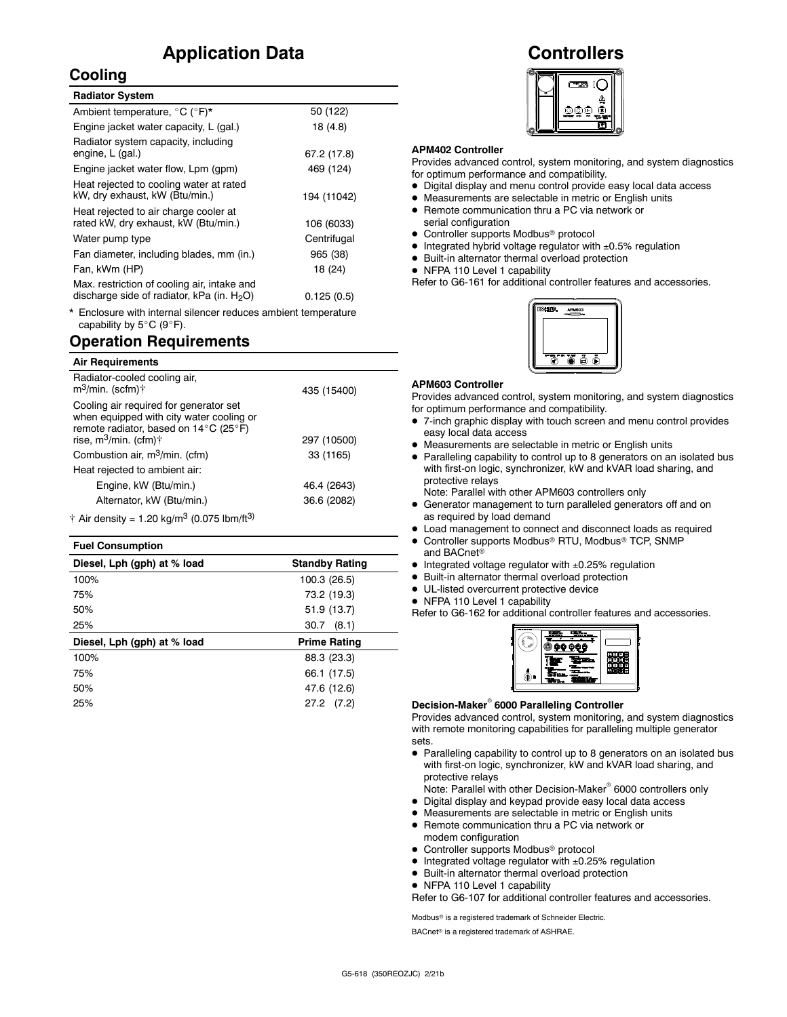# **Application Data**

## **Cooling**

| <b>Radiator System</b>                                                                       |             |
|----------------------------------------------------------------------------------------------|-------------|
| Ambient temperature, °C (°F)*                                                                | 50 (122)    |
| Engine jacket water capacity, L (gal.)                                                       | 18 (4.8)    |
| Radiator system capacity, including<br>engine, L (gal.)                                      | 67.2 (17.8) |
| Engine jacket water flow, Lpm (gpm)                                                          | 469 (124)   |
| Heat rejected to cooling water at rated<br>kW, dry exhaust, kW (Btu/min.)                    | 194 (11042) |
| Heat rejected to air charge cooler at<br>rated kW, dry exhaust, kW (Btu/min.)                | 106 (6033)  |
| Water pump type                                                                              | Centrifugal |
| Fan diameter, including blades, mm (in.)                                                     | 965 (38)    |
| Fan, kWm (HP)                                                                                | 18 (24)     |
| Max. restriction of cooling air, intake and<br>discharge side of radiator, kPa (in. $H_2O$ ) | 0.125(0.5)  |

Enclosure with internal silencer reduces ambient temperature capability by  $5^{\circ}$ C (9 $^{\circ}$ F).

## **Operation Requirements**

| <b>Air Requirements</b>                                                                                                                                                               |             |  |
|---------------------------------------------------------------------------------------------------------------------------------------------------------------------------------------|-------------|--|
| Radiator-cooled cooling air,<br>$m^3$ /min. (scfm) $\dagger$                                                                                                                          | 435 (15400) |  |
| Cooling air required for generator set<br>when equipped with city water cooling or<br>remote radiator, based on $14^{\circ}$ C (25 $^{\circ}$ F)<br>rise, $m^3/m$ in. (cfm) $\dagger$ | 297 (10500) |  |
| Combustion air, m <sup>3</sup> /min. (cfm)                                                                                                                                            | 33 (1165)   |  |
| Heat rejected to ambient air:                                                                                                                                                         |             |  |
| Engine, kW (Btu/min.)                                                                                                                                                                 | 46.4 (2643) |  |
| Alternator, kW (Btu/min.)                                                                                                                                                             | 36.6 (2082) |  |
| $\dagger$ Air density = 1.20 kg/m <sup>3</sup> (0.075 lbm/ft <sup>3)</sup>                                                                                                            |             |  |

| <b>Fuel Consumption</b>     |                       |  |  |  |
|-----------------------------|-----------------------|--|--|--|
| Diesel, Lph (gph) at % load | <b>Standby Rating</b> |  |  |  |
| 100%                        | 100.3 (26.5)          |  |  |  |
| 75%                         | 73.2 (19.3)           |  |  |  |
| 50%                         | 51.9 (13.7)           |  |  |  |
| 25%                         | 30.7<br>(8.1)         |  |  |  |
| Diesel, Lph (gph) at % load | <b>Prime Rating</b>   |  |  |  |
| 100%                        | 88.3 (23.3)           |  |  |  |
| 75%                         | 66.1 (17.5)           |  |  |  |
| 50%                         | 47.6 (12.6)           |  |  |  |
| 25%                         | $27.2$ $(7.2)$        |  |  |  |

# **Controllers**



### **APM402 Controller**

Provides advanced control, system monitoring, and system diagnostics for optimum performance and compatibility.

- Digital display and menu control provide easy local data access
- $\bullet$  Measurements are selectable in metric or English units
- Remote communication thru a PC via network or serial configuration
- Controller supports Modbus<sup>®</sup> protocol
- $\bullet$  Integrated hybrid voltage regulator with  $\pm 0.5\%$  regulation
- $\bullet$  Built-in alternator thermal overload protection
- NFPA 110 Level 1 capability

Refer to G6-161 for additional controller features and accessories.



#### **APM603 Controller**

Provides advanced control, system monitoring, and system diagnostics for optimum performance and compatibility.

- 7-inch graphic display with touch screen and menu control provides
- easy local data access Measurements are selectable in metric or English units
- Paralleling capability to control up to 8 generators on an isolated bus with first-on logic, synchronizer, kW and kVAR load sharing, and protective relays

Note: Parallel with other APM603 controllers only

- Generator management to turn paralleled generators off and on as required by load demand
- Load management to connect and disconnect loads as required
- $\bullet$  Controller supports Modbus® RTU, Modbus® TCP, SNMP
- and BACnet<sup>®</sup>
- $\bullet$  Integrated voltage regulator with  $\pm 0.25\%$  regulation
- $\bullet$  Built-in alternator thermal overload protection
- $\bullet$  UL-listed overcurrent protective device
- NFPA 110 Level 1 capability

Refer to G6-162 for additional controller features and accessories.



### **Decision-Maker<sup>®</sup> 6000 Paralleling Controller**

Provides advanced control, system monitoring, and system diagnostics with remote monitoring capabilities for paralleling multiple generator sets.

- Paralleling capability to control up to 8 generators on an isolated bus with first-on logic, synchronizer, kW and kVAR load sharing, and protective relays
- Note: Parallel with other Decision-Maker<sup>®</sup> 6000 controllers only
- $\bullet$  Digital display and keypad provide easy local data access
- $\bullet$  Measurements are selectable in metric or English units
- Remote communication thru a PC via network or modem configuration
- Controller supports Modbus<sup>®</sup> protocol
- $\bullet$  Integrated voltage regulator with  $\pm 0.25\%$  regulation
- $\bullet$  Built-in alternator thermal overload protection
- NFPA 110 Level 1 capability

Refer to G6-107 for additional controller features and accessories.

Modbus<sup>®</sup> is a registered trademark of Schneider Electric.

BACnet<sup>®</sup> is a registered trademark of ASHRAE.